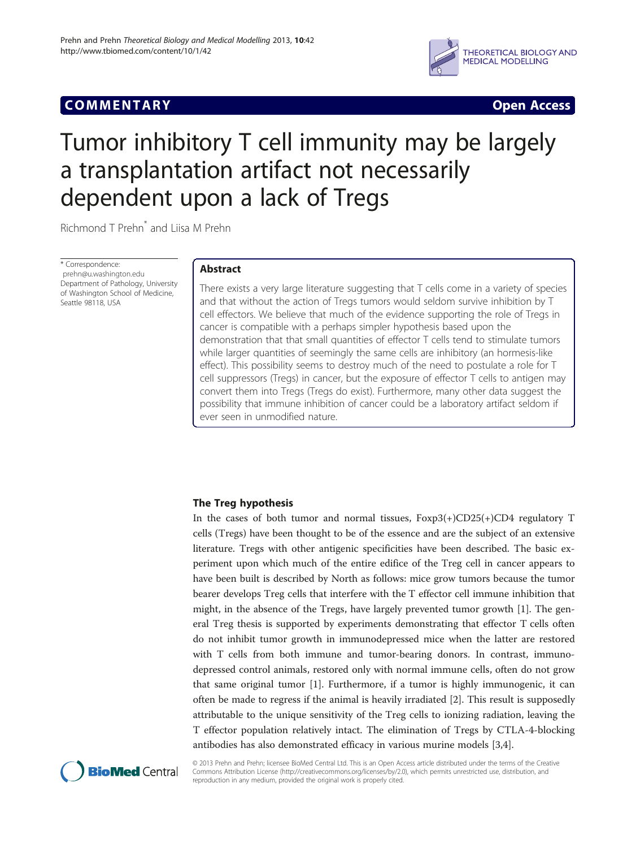# Communication of the communication of the communication of the communication of the communication of the communication of the communication of the communication of the communication of the communication of the communicatio



# Tumor inhibitory T cell immunity may be largely a transplantation artifact not necessarily dependent upon a lack of Tregs

Richmond T Prehn\* and Liisa M Prehn

\* Correspondence: [prehn@u.washington.edu](mailto:prehn@u.washington.edu) Department of Pathology, University of Washington School of Medicine, Seattle 98118, USA

# **Abstract**

There exists a very large literature suggesting that T cells come in a variety of species and that without the action of Tregs tumors would seldom survive inhibition by T cell effectors. We believe that much of the evidence supporting the role of Tregs in cancer is compatible with a perhaps simpler hypothesis based upon the demonstration that that small quantities of effector T cells tend to stimulate tumors while larger quantities of seemingly the same cells are inhibitory (an hormesis-like effect). This possibility seems to destroy much of the need to postulate a role for T cell suppressors (Tregs) in cancer, but the exposure of effector T cells to antigen may convert them into Tregs (Tregs do exist). Furthermore, many other data suggest the possibility that immune inhibition of cancer could be a laboratory artifact seldom if ever seen in unmodified nature.

In the cases of both tumor and normal tissues, Foxp3(+)CD25(+)CD4 regulatory T cells (Tregs) have been thought to be of the essence and are the subject of an extensive literature. Tregs with other antigenic specificities have been described. The basic experiment upon which much of the entire edifice of the Treg cell in cancer appears to have been built is described by North as follows: mice grow tumors because the tumor bearer develops Treg cells that interfere with the T effector cell immune inhibition that might, in the absence of the Tregs, have largely prevented tumor growth [[1](#page-4-0)]. The general Treg thesis is supported by experiments demonstrating that effector T cells often do not inhibit tumor growth in immunodepressed mice when the latter are restored with T cells from both immune and tumor-bearing donors. In contrast, immunodepressed control animals, restored only with normal immune cells, often do not grow that same original tumor [\[1](#page-4-0)]. Furthermore, if a tumor is highly immunogenic, it can often be made to regress if the animal is heavily irradiated [\[2](#page-4-0)]. This result is supposedly attributable to the unique sensitivity of the Treg cells to ionizing radiation, leaving the T effector population relatively intact. The elimination of Tregs by CTLA-4-blocking antibodies has also demonstrated efficacy in various murine models [\[3,4](#page-4-0)].



© 2013 Prehn and Prehn; licensee BioMed Central Ltd. This is an Open Access article distributed under the terms of the Creative Commons Attribution License [\(http://creativecommons.org/licenses/by/2.0\)](http://creativecommons.org/licenses/by/2.0), which permits unrestricted use, distribution, and reproduction in any medium, provided the original work is properly cited.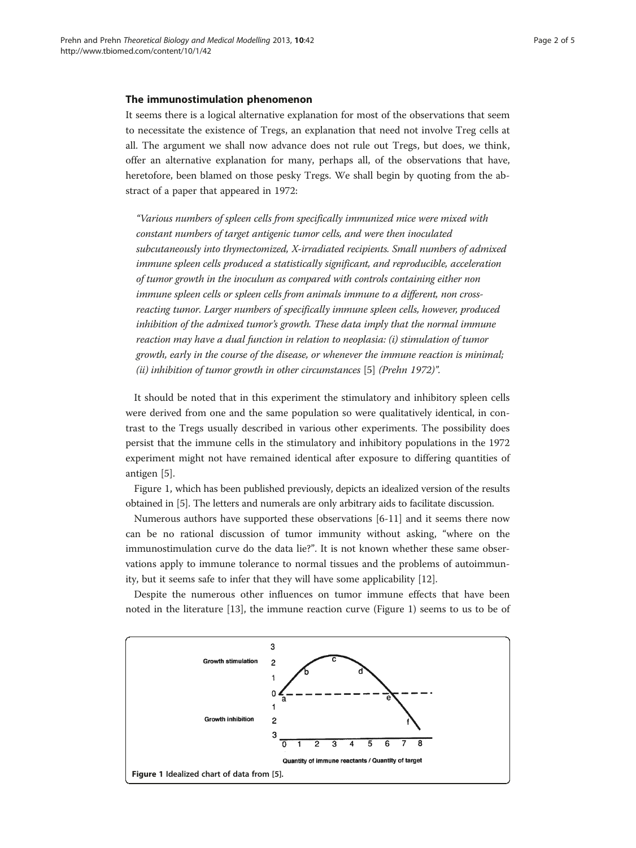<span id="page-1-0"></span>It seems there is a logical alternative explanation for most of the observations that seem to necessitate the existence of Tregs, an explanation that need not involve Treg cells at all. The argument we shall now advance does not rule out Tregs, but does, we think, offer an alternative explanation for many, perhaps all, of the observations that have, heretofore, been blamed on those pesky Tregs. We shall begin by quoting from the abstract of a paper that appeared in 1972:

"Various numbers of spleen cells from specifically immunized mice were mixed with constant numbers of target antigenic tumor cells, and were then inoculated subcutaneously into thymectomized, X-irradiated recipients. Small numbers of admixed immune spleen cells produced a statistically significant, and reproducible, acceleration of tumor growth in the inoculum as compared with controls containing either non immune spleen cells or spleen cells from animals immune to a different, non crossreacting tumor. Larger numbers of specifically immune spleen cells, however, produced inhibition of the admixed tumor's growth. These data imply that the normal immune reaction may have a dual function in relation to neoplasia: (i) stimulation of tumor growth, early in the course of the disease, or whenever the immune reaction is minimal; (ii) inhibition of tumor growth in other circumstances [[5\]](#page-4-0) (Prehn 1972)".

It should be noted that in this experiment the stimulatory and inhibitory spleen cells were derived from one and the same population so were qualitatively identical, in contrast to the Tregs usually described in various other experiments. The possibility does persist that the immune cells in the stimulatory and inhibitory populations in the 1972 experiment might not have remained identical after exposure to differing quantities of antigen [[5\]](#page-4-0).

Figure 1, which has been published previously, depicts an idealized version of the results obtained in [\[5](#page-4-0)]. The letters and numerals are only arbitrary aids to facilitate discussion.

Numerous authors have supported these observations [\[6](#page-4-0)-[11\]](#page-4-0) and it seems there now can be no rational discussion of tumor immunity without asking, "where on the immunostimulation curve do the data lie?". It is not known whether these same observations apply to immune tolerance to normal tissues and the problems of autoimmunity, but it seems safe to infer that they will have some applicability [[12\]](#page-4-0).

Despite the numerous other influences on tumor immune effects that have been noted in the literature [\[13](#page-4-0)], the immune reaction curve (Figure 1) seems to us to be of

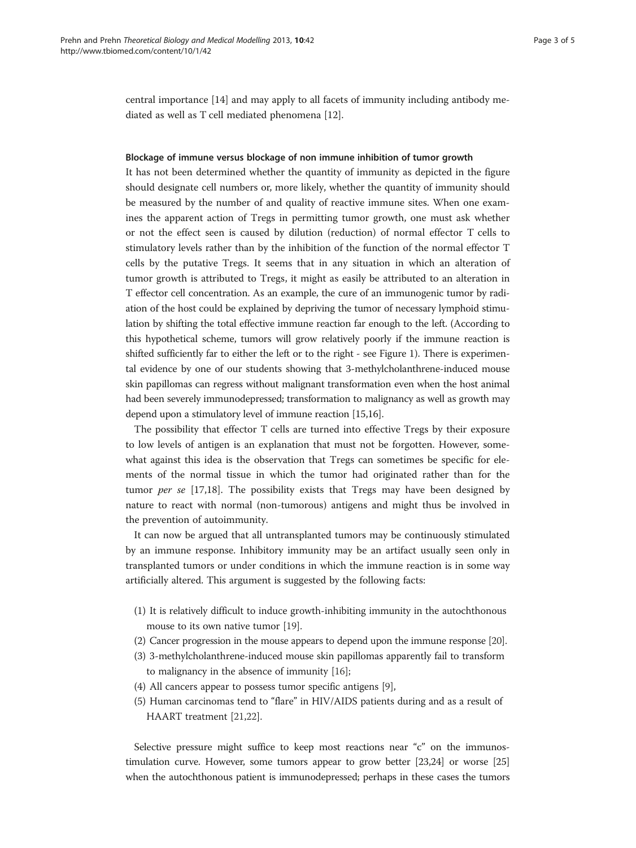central importance [\[14\]](#page-4-0) and may apply to all facets of immunity including antibody mediated as well as T cell mediated phenomena [[12\]](#page-4-0).

## Blockage of immune versus blockage of non immune inhibition of tumor growth

It has not been determined whether the quantity of immunity as depicted in the figure should designate cell numbers or, more likely, whether the quantity of immunity should be measured by the number of and quality of reactive immune sites. When one examines the apparent action of Tregs in permitting tumor growth, one must ask whether or not the effect seen is caused by dilution (reduction) of normal effector T cells to stimulatory levels rather than by the inhibition of the function of the normal effector T cells by the putative Tregs. It seems that in any situation in which an alteration of tumor growth is attributed to Tregs, it might as easily be attributed to an alteration in T effector cell concentration. As an example, the cure of an immunogenic tumor by radiation of the host could be explained by depriving the tumor of necessary lymphoid stimulation by shifting the total effective immune reaction far enough to the left. (According to this hypothetical scheme, tumors will grow relatively poorly if the immune reaction is shifted sufficiently far to either the left or to the right - see Figure [1](#page-1-0)). There is experimental evidence by one of our students showing that 3-methylcholanthrene-induced mouse skin papillomas can regress without malignant transformation even when the host animal had been severely immunodepressed; transformation to malignancy as well as growth may depend upon a stimulatory level of immune reaction [\[15,16](#page-4-0)].

The possibility that effector T cells are turned into effective Tregs by their exposure to low levels of antigen is an explanation that must not be forgotten. However, somewhat against this idea is the observation that Tregs can sometimes be specific for elements of the normal tissue in which the tumor had originated rather than for the tumor per se [[17,18\]](#page-4-0). The possibility exists that Tregs may have been designed by nature to react with normal (non-tumorous) antigens and might thus be involved in the prevention of autoimmunity.

It can now be argued that all untransplanted tumors may be continuously stimulated by an immune response. Inhibitory immunity may be an artifact usually seen only in transplanted tumors or under conditions in which the immune reaction is in some way artificially altered. This argument is suggested by the following facts:

- (1) It is relatively difficult to induce growth-inhibiting immunity in the autochthonous mouse to its own native tumor [\[19\]](#page-4-0).
- (2) Cancer progression in the mouse appears to depend upon the immune response [[20\]](#page-4-0).
- (3) 3-methylcholanthrene-induced mouse skin papillomas apparently fail to transform to malignancy in the absence of immunity [[16](#page-4-0)];
- (4) All cancers appear to possess tumor specific antigens [[9\]](#page-4-0),
- (5) Human carcinomas tend to "flare" in HIV/AIDS patients during and as a result of HAART treatment [\[21,22](#page-4-0)].

Selective pressure might suffice to keep most reactions near "c" on the immunostimulation curve. However, some tumors appear to grow better [\[23,24](#page-4-0)] or worse [[25](#page-4-0)] when the autochthonous patient is immunodepressed; perhaps in these cases the tumors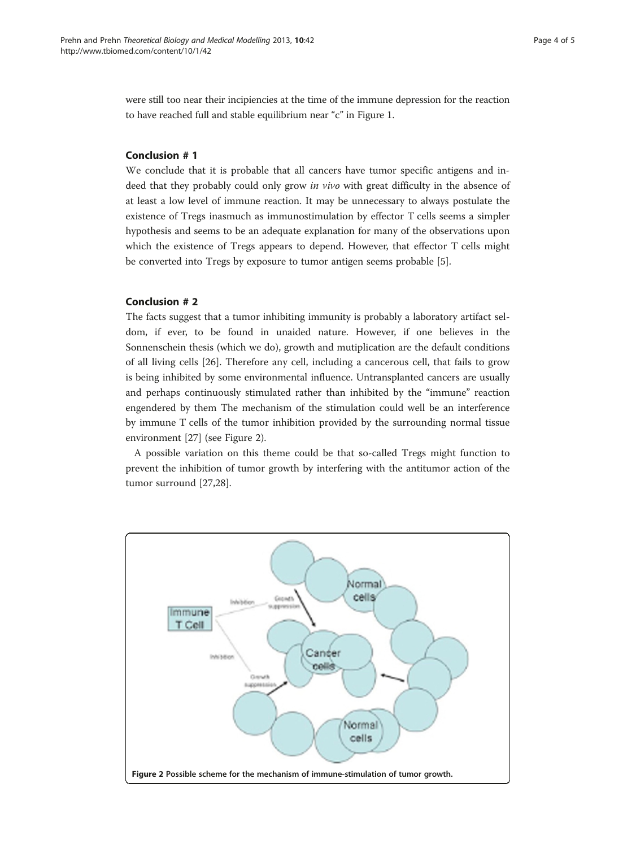were still too near their incipiencies at the time of the immune depression for the reaction to have reached full and stable equilibrium near "c" in Figure [1](#page-1-0).

# **Conclusion #1**

We conclude that it is probable that all cancers have tumor specific antigens and indeed that they probably could only grow in vivo with great difficulty in the absence of at least a low level of immune reaction. It may be unnecessary to always postulate the existence of Tregs inasmuch as immunostimulation by effector T cells seems a simpler hypothesis and seems to be an adequate explanation for many of the observations upon which the existence of Tregs appears to depend. However, that effector T cells might be converted into Tregs by exposure to tumor antigen seems probable [[5](#page-4-0)].

## **Conclusion #2**

The facts suggest that a tumor inhibiting immunity is probably a laboratory artifact seldom, if ever, to be found in unaided nature. However, if one believes in the Sonnenschein thesis (which we do), growth and mutiplication are the default conditions of all living cells [\[26](#page-4-0)]. Therefore any cell, including a cancerous cell, that fails to grow is being inhibited by some environmental influence. Untransplanted cancers are usually and perhaps continuously stimulated rather than inhibited by the "immune" reaction engendered by them The mechanism of the stimulation could well be an interference by immune T cells of the tumor inhibition provided by the surrounding normal tissue environment [[27\]](#page-4-0) (see Figure 2).

A possible variation on this theme could be that so-called Tregs might function to prevent the inhibition of tumor growth by interfering with the antitumor action of the tumor surround [[27,28](#page-4-0)].